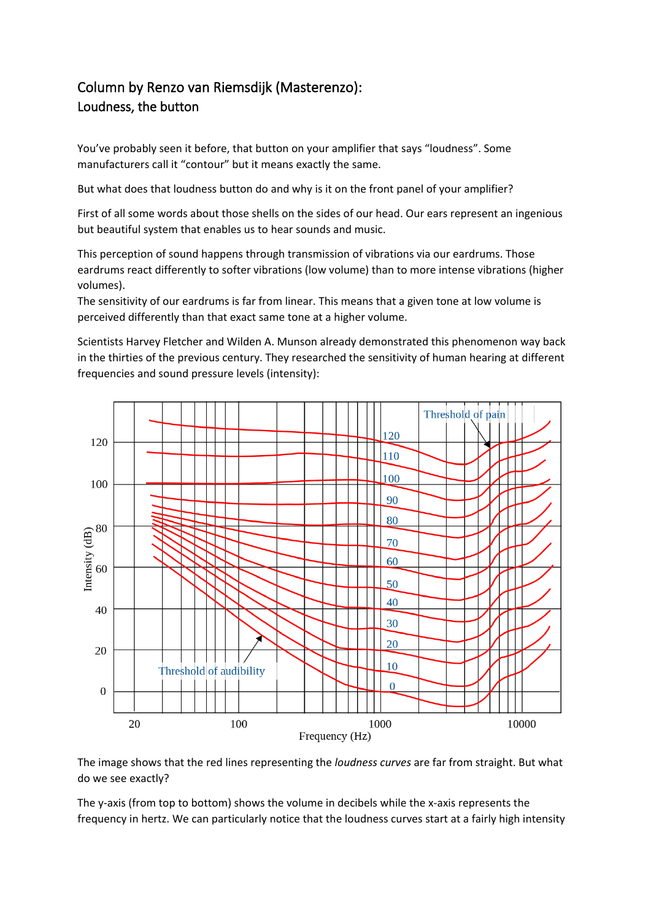## Column by Renzo van Riemsdijk (Masterenzo): Loudness, the button

You've probably seen it before, that button on your amplifier that says "loudness". Some manufacturers call it "contour" but it means exactly the same.

But what does that loudness button do and why is it on the front panel of your amplifier?

First of all some words about those shells on the sides of our head. Our ears represent an ingenious but beautiful system that enables us to hear sounds and music.

This perception of sound happens through transmission of vibrations via our eardrums. Those eardrums react differently to softer vibrations (low volume) than to more intense vibrations (higher volumes).

The sensitivity of our eardrums is far from linear. This means that a given tone at low volume is perceived differently than that exact same tone at a higher volume.

Scientists Harvey Fletcher and Wilden A. Munson already demonstrated this phenomenon way back in the thirties of the previous century. They researched the sensitivity of human hearing at different frequencies and sound pressure levels (intensity):



The image shows that the red lines representing the *loudness curves* are far from straight. But what do we see exactly?

The y-axis (from top to bottom) shows the volume in decibels while the x-axis represents the frequency in hertz. We can particularly notice that the loudness curves start at a fairly high intensity